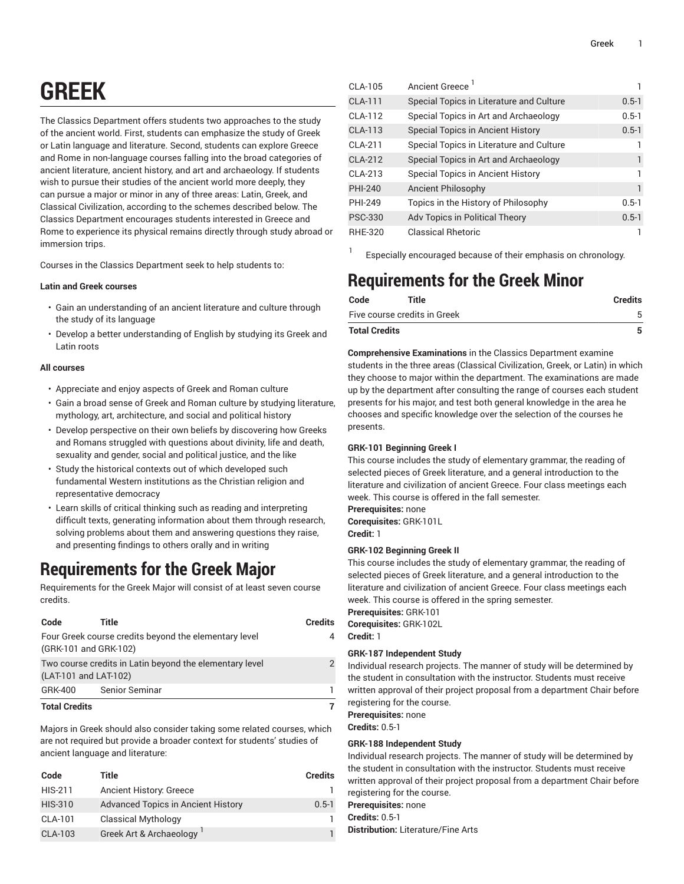# **GREEK**

The Classics Department offers students two approaches to the study of the ancient world. First, students can emphasize the study of Greek or Latin language and literature. Second, students can explore Greece and Rome in non-language courses falling into the broad categories of ancient literature, ancient history, and art and archaeology. If students wish to pursue their studies of the ancient world more deeply, they can pursue a major or minor in any of three areas: Latin, Greek, and Classical Civilization, according to the schemes described below. The Classics Department encourages students interested in Greece and Rome to experience its physical remains directly through study abroad or immersion trips.

Courses in the Classics Department seek to help students to:

### **Latin and Greek courses**

- Gain an understanding of an ancient literature and culture through the study of its language
- Develop a better understanding of English by studying its Greek and Latin roots

#### **All courses**

- Appreciate and enjoy aspects of Greek and Roman culture
- Gain a broad sense of Greek and Roman culture by studying literature, mythology, art, architecture, and social and political history
- Develop perspective on their own beliefs by discovering how Greeks and Romans struggled with questions about divinity, life and death, sexuality and gender, social and political justice, and the like
- Study the historical contexts out of which developed such fundamental Western institutions as the Christian religion and representative democracy
- Learn skills of critical thinking such as reading and interpreting difficult texts, generating information about them through research, solving problems about them and answering questions they raise, and presenting findings to others orally and in writing

# **Requirements for the Greek Major**

Requirements for the Greek Major will consist of at least seven course credits.

| Code                                                                           | Title                                                                            | <b>Credits</b> |
|--------------------------------------------------------------------------------|----------------------------------------------------------------------------------|----------------|
| Four Greek course credits beyond the elementary level<br>(GRK-101 and GRK-102) |                                                                                  |                |
|                                                                                | Two course credits in Latin beyond the elementary level<br>(LAT-101 and LAT-102) |                |
| GRK-400                                                                        | Senior Seminar                                                                   |                |
| <b>Total Credits</b>                                                           |                                                                                  |                |

Majors in Greek should also consider taking some related courses, which are not required but provide a broader context for students' studies of ancient language and literature:

| Code           | Title                                     | <b>Credits</b> |
|----------------|-------------------------------------------|----------------|
| HIS-211        | <b>Ancient History: Greece</b>            |                |
| <b>HIS-310</b> | <b>Advanced Topics in Ancient History</b> | $0.5 - 1$      |
| CLA-101        | <b>Classical Mythology</b>                |                |
| CLA-103        | Greek Art & Archaeology                   |                |

| CLA-105        | Ancient Greece                           |           |
|----------------|------------------------------------------|-----------|
| <b>CLA-111</b> | Special Topics in Literature and Culture | $0.5 - 1$ |
| CLA-112        | Special Topics in Art and Archaeology    | $0.5 - 1$ |
| CLA-113        | <b>Special Topics in Ancient History</b> | $0.5 - 1$ |
| CLA-211        | Special Topics in Literature and Culture |           |
| CI A-212       | Special Topics in Art and Archaeology    |           |
| $CI A-213$     | Special Topics in Ancient History        |           |
| <b>PHI-240</b> | Ancient Philosophy                       | 1         |
| PHI-249        | Topics in the History of Philosophy      | $0.5 - 1$ |
| <b>PSC-330</b> | Adv Topics in Political Theory           | $0.5 - 1$ |
| <b>RHE-320</b> | <b>Classical Rhetoric</b>                |           |

Especially encouraged because of their emphasis on chronology.

# **Requirements for the Greek Minor**

| Code                         | Title | <b>Credits</b> |
|------------------------------|-------|----------------|
| Five course credits in Greek |       |                |
| <b>Total Credits</b>         |       |                |

**Comprehensive Examinations** in the Classics Department examine students in the three areas (Classical Civilization, Greek, or Latin) in which they choose to major within the department. The examinations are made up by the department after consulting the range of courses each student presents for his major, and test both general knowledge in the area he chooses and specific knowledge over the selection of the courses he presents.

# **GRK-101 Beginning Greek I**

This course includes the study of elementary grammar, the reading of selected pieces of Greek literature, and a general introduction to the literature and civilization of ancient Greece. Four class meetings each week. This course is offered in the fall semester.

**Prerequisites:** none

1

**Corequisites:** GRK-101L **Credit:** 1

# **GRK-102 Beginning Greek II**

This course includes the study of elementary grammar, the reading of selected pieces of Greek literature, and a general introduction to the literature and civilization of ancient Greece. Four class meetings each week. This course is offered in the spring semester.

**Prerequisites:** GRK-101 **Corequisites:** GRK-102L **Credit:** 1

# **GRK-187 Independent Study**

Individual research projects. The manner of study will be determined by the student in consultation with the instructor. Students must receive written approval of their project proposal from a department Chair before registering for the course.

**Prerequisites:** none

**Credits:** 0.5-1

# **GRK-188 Independent Study**

Individual research projects. The manner of study will be determined by the student in consultation with the instructor. Students must receive written approval of their project proposal from a department Chair before registering for the course.

**Prerequisites:** none

**Credits:** 0.5-1

**Distribution:** Literature/Fine Arts